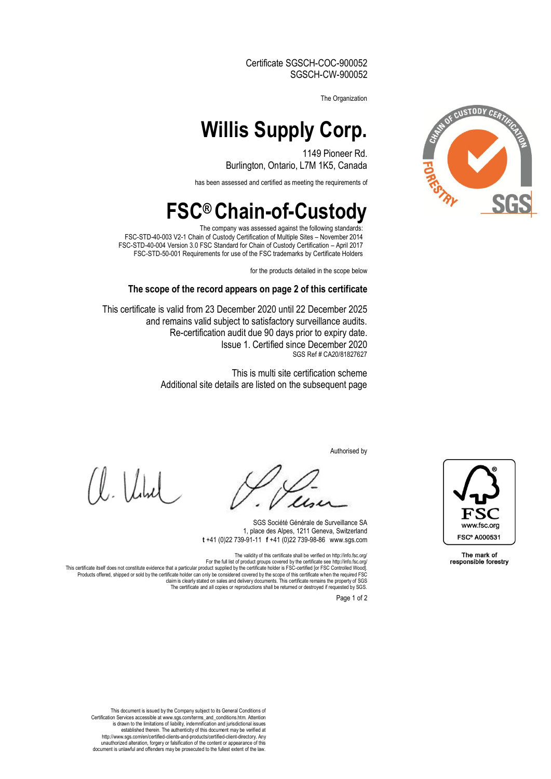Certificate SGSCH-COC-900052 SGSCH-CW-900052

The Organization

## **Willis Supply Corp.**

1149 Pioneer Rd. Burlington, Ontario, L7M 1K5, Canada

has been assessed and certified as meeting the requirements of

### **FSC® Chain-of-Custody**

The company was assessed against the following standards: FSC-STD-40-003 V2-1 Chain of Custody Certification of Multiple Sites – November 2014 FSC-STD-40-004 Version 3.0 FSC Standard for Chain of Custody Certification – April 2017 FSC-STD-50-001 Requirements for use of the FSC trademarks by Certificate Holders

for the products detailed in the scope below

#### **The scope of the record appears on page 2 of this certificate**

This certificate is valid from 23 December 2020 until 22 December 2025 and remains valid subject to satisfactory surveillance audits. Re-certification audit due 90 days prior to expiry date. Issue 1. Certified since December 2020 SGS Ref # CA20/81827627

> This is multi site certification scheme Additional site details are listed on the subsequent page

> > Authorised by

 $\lfloor \ln \frac{1}{2} \rfloor$ 

SGS Société Générale de Surveillance SA 1, place des Alpes, 1211 Geneva, Switzerland **t** +41 (0)22 739-91-11□**f** +41 (0)22 739-98-86□www.sgs.com

The validity of this certificate shall be verified on http://info.fsc.org/ For the full list of product groups covered by the certificate see http://info.fsc.org/<br>This certificate itself does not constitute evidence that a particular product supplied by the certificate holder is FSC-certificate W claim is clearly stated on sales and delivery documents. This certificate remains the property of SGS

The certificate and all copies or reproductions shall be returned or destroyed if requested by SGS.

Page 1 of 2



The mark of responsible forestry

This document is issued by the Company subject to its General Conditions of Certification Services accessible at www.sgs.com/terms\_and\_conditions.htm. Attention<br>is drawn to the limitations of liability, indemnification and jurisdictional issues<br>established therein. The authenticity of this documen http://www.sgs.com/en/certified-clients-and-products/certified-client-directory. Any unauthorized alteration, forgery or falsification of the content or appearance of this document is unlawful and offenders may be prosecuted to the fullest extent of the law.